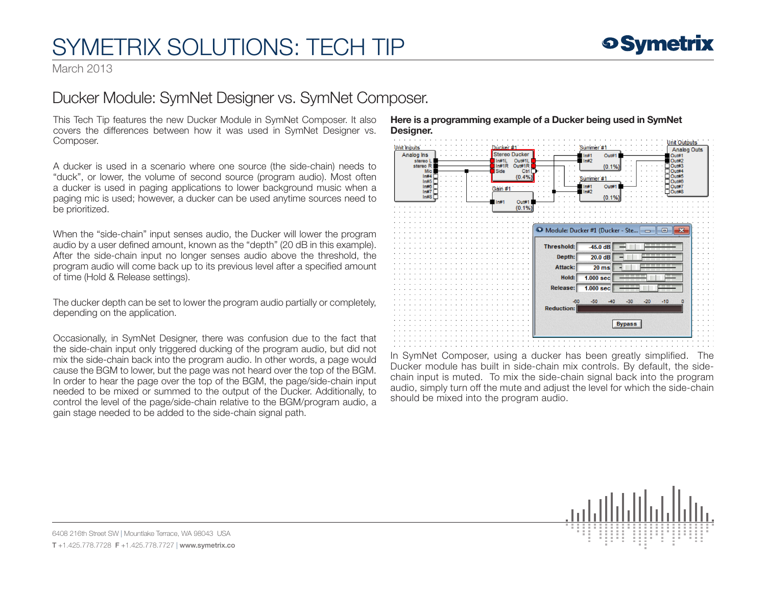## SYMETRIX SOLUTIONS: TECH TIP

March 2013

## Ducker Module: SymNet Designer vs. SymNet Composer.

This Tech Tip features the new Ducker Module in SymNet Composer. It also covers the differences between how it was used in SymNet Designer vs. Composer.

A ducker is used in a scenario where one source (the side-chain) needs to "duck", or lower, the volume of second source (program audio). Most often a ducker is used in paging applications to lower background music when a paging mic is used; however, a ducker can be used anytime sources need to be prioritized.

When the "side-chain" input senses audio, the Ducker will lower the program audio by a user defined amount, known as the "depth" (20 dB in this example). After the side-chain input no longer senses audio above the threshold, the program audio will come back up to its previous level after a specified amount of time (Hold & Release settings).

The ducker depth can be set to lower the program audio partially or completely, depending on the application.

Occasionally, in SymNet Designer, there was confusion due to the fact that the side-chain input only triggered ducking of the program audio, but did not mix the side-chain back into the program audio. In other words, a page would cause the BGM to lower, but the page was not heard over the top of the BGM. In order to hear the page over the top of the BGM, the page/side-chain input needed to be mixed or summed to the output of the Ducker. Additionally, to control the level of the page/side-chain relative to the BGM/program audio, a gain stage needed to be added to the side-chain signal path.

Here is a programming example of a Ducker being used in SymNet Designer.



In SymNet Composer, using a ducker has been greatly simplified. The Ducker module has built in side-chain mix controls. By default, the sidechain input is muted. To mix the side-chain signal back into the program audio, simply turn off the mute and adjust the level for which the side-chain should be mixed into the program audio.



6408 216th Street SW | Mountlake Terrace, WA 98043 USA T +1.425.778.7728 F +1.425.778.7727 | www.symetrix.co